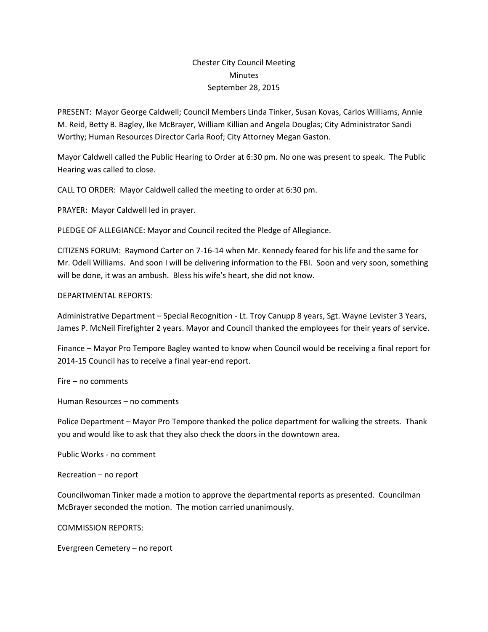## Chester City Council Meeting **Minutes** September 28, 2015

PRESENT: Mayor George Caldwell; Council Members Linda Tinker, Susan Kovas, Carlos Williams, Annie M. Reid, Betty B. Bagley, Ike McBrayer, William Killian and Angela Douglas; City Administrator Sandi Worthy; Human Resources Director Carla Roof; City Attorney Megan Gaston.

Mayor Caldwell called the Public Hearing to Order at 6:30 pm. No one was present to speak. The Public Hearing was called to close.

CALL TO ORDER: Mayor Caldwell called the meeting to order at 6:30 pm.

PRAYER: Mayor Caldwell led in prayer.

PLEDGE OF ALLEGIANCE: Mayor and Council recited the Pledge of Allegiance.

CITIZENS FORUM: Raymond Carter on 7-16-14 when Mr. Kennedy feared for his life and the same for Mr. Odell Williams. And soon I will be delivering information to the FBI. Soon and very soon, something will be done, it was an ambush. Bless his wife's heart, she did not know.

## DEPARTMENTAL REPORTS:

Administrative Department – Special Recognition - Lt. Troy Canupp 8 years, Sgt. Wayne Levister 3 Years, James P. McNeil Firefighter 2 years. Mayor and Council thanked the employees for their years of service.

Finance – Mayor Pro Tempore Bagley wanted to know when Council would be receiving a final report for 2014-15 Council has to receive a final year-end report.

Fire – no comments

Human Resources – no comments

Police Department – Mayor Pro Tempore thanked the police department for walking the streets. Thank you and would like to ask that they also check the doors in the downtown area.

Public Works - no comment

Recreation – no report

Councilwoman Tinker made a motion to approve the departmental reports as presented. Councilman McBrayer seconded the motion. The motion carried unanimously.

COMMISSION REPORTS:

Evergreen Cemetery – no report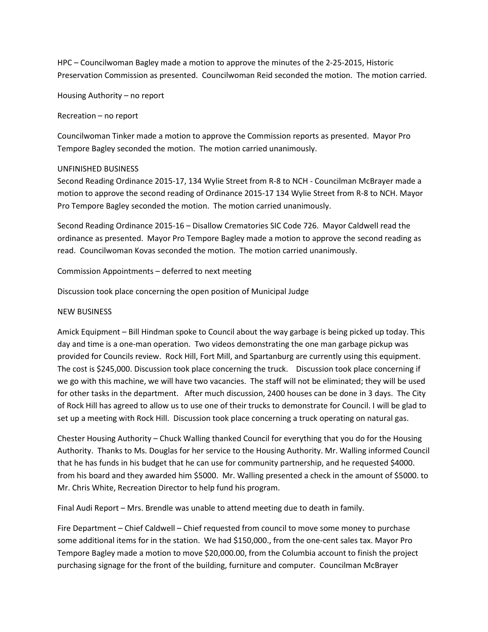HPC – Councilwoman Bagley made a motion to approve the minutes of the 2-25-2015, Historic Preservation Commission as presented. Councilwoman Reid seconded the motion. The motion carried.

Housing Authority – no report

Recreation – no report

Councilwoman Tinker made a motion to approve the Commission reports as presented. Mayor Pro Tempore Bagley seconded the motion. The motion carried unanimously.

## UNFINISHED BUSINESS

Second Reading Ordinance 2015-17, 134 Wylie Street from R-8 to NCH - Councilman McBrayer made a motion to approve the second reading of Ordinance 2015-17 134 Wylie Street from R-8 to NCH. Mayor Pro Tempore Bagley seconded the motion. The motion carried unanimously.

Second Reading Ordinance 2015-16 – Disallow Crematories SIC Code 726. Mayor Caldwell read the ordinance as presented. Mayor Pro Tempore Bagley made a motion to approve the second reading as read. Councilwoman Kovas seconded the motion. The motion carried unanimously.

Commission Appointments – deferred to next meeting

Discussion took place concerning the open position of Municipal Judge

## NEW BUSINESS

Amick Equipment – Bill Hindman spoke to Council about the way garbage is being picked up today. This day and time is a one-man operation. Two videos demonstrating the one man garbage pickup was provided for Councils review. Rock Hill, Fort Mill, and Spartanburg are currently using this equipment. The cost is \$245,000. Discussion took place concerning the truck. Discussion took place concerning if we go with this machine, we will have two vacancies. The staff will not be eliminated; they will be used for other tasks in the department. After much discussion, 2400 houses can be done in 3 days. The City of Rock Hill has agreed to allow us to use one of their trucks to demonstrate for Council. I will be glad to set up a meeting with Rock Hill. Discussion took place concerning a truck operating on natural gas.

Chester Housing Authority – Chuck Walling thanked Council for everything that you do for the Housing Authority. Thanks to Ms. Douglas for her service to the Housing Authority. Mr. Walling informed Council that he has funds in his budget that he can use for community partnership, and he requested \$4000. from his board and they awarded him \$5000. Mr. Walling presented a check in the amount of \$5000. to Mr. Chris White, Recreation Director to help fund his program.

Final Audi Report – Mrs. Brendle was unable to attend meeting due to death in family.

Fire Department – Chief Caldwell – Chief requested from council to move some money to purchase some additional items for in the station. We had \$150,000., from the one-cent sales tax. Mayor Pro Tempore Bagley made a motion to move \$20,000.00, from the Columbia account to finish the project purchasing signage for the front of the building, furniture and computer. Councilman McBrayer